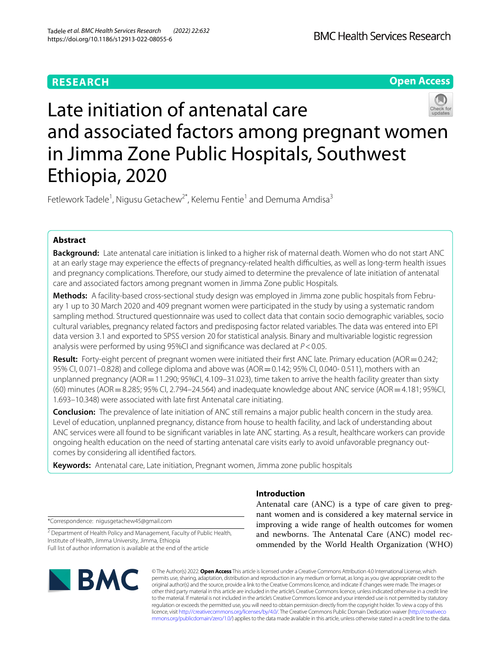# **RESEARCH**

**Open Access**

# Late initiation of antenatal care and associated factors among pregnant women in Jimma Zone Public Hospitals, Southwest Ethiopia, 2020

Fetlework Tadele<sup>1</sup>, Nigusu Getachew<sup>2\*</sup>, Kelemu Fentie<sup>1</sup> and Demuma Amdisa<sup>3</sup>

# **Abstract**

**Background:** Late antenatal care initiation is linked to a higher risk of maternal death. Women who do not start ANC at an early stage may experience the effects of pregnancy-related health difficulties, as well as long-term health issues and pregnancy complications. Therefore, our study aimed to determine the prevalence of late initiation of antenatal care and associated factors among pregnant women in Jimma Zone public Hospitals.

**Methods:** A facility-based cross-sectional study design was employed in Jimma zone public hospitals from February 1 up to 30 March 2020 and 409 pregnant women were participated in the study by using a systematic random sampling method. Structured questionnaire was used to collect data that contain socio demographic variables, socio cultural variables, pregnancy related factors and predisposing factor related variables. The data was entered into EPI data version 3.1 and exported to SPSS version 20 for statistical analysis. Binary and multivariable logistic regression analysis were performed by using 95%CI and signifcance was declared at *P*<0.05.

**Result:** Forty-eight percent of pregnant women were initiated their first ANC late. Primary education (AOR = 0.242; 95% CI, 0.071–0.828) and college diploma and above was (AOR=0.142; 95% CI, 0.040- 0.511), mothers with an unplanned pregnancy (AOR=11.290; 95%CI, 4.109–31.023), time taken to arrive the health facility greater than sixty (60) minutes (AOR=8.285; 95% CI, 2.794–24.564) and inadequate knowledge about ANC service (AOR=4.181; 95%CI, 1.693–10.348) were associated with late frst Antenatal care initiating.

**Conclusion:** The prevalence of late initiation of ANC still remains a major public health concern in the study area. Level of education, unplanned pregnancy, distance from house to health facility, and lack of understanding about ANC services were all found to be signifcant variables in late ANC starting. As a result, healthcare workers can provide ongoing health education on the need of starting antenatal care visits early to avoid unfavorable pregnancy outcomes by considering all identifed factors.

**Keywords:** Antenatal care, Late initiation, Pregnant women, Jimma zone public hospitals

# **Introduction**

Antenatal care (ANC) is a type of care given to pregnant women and is considered a key maternal service in improving a wide range of health outcomes for women and newborns. The Antenatal Care (ANC) model recommended by the World Health Organization (WHO)

\*Correspondence: nigusgetachew45@gmail.com

<sup>2</sup> Department of Health Policy and Management, Faculty of Public Health, Institute of Health, Jimma University, Jimma, Ethiopia Full list of author information is available at the end of the article



© The Author(s) 2022. **Open Access** This article is licensed under a Creative Commons Attribution 4.0 International License, which permits use, sharing, adaptation, distribution and reproduction in any medium or format, as long as you give appropriate credit to the original author(s) and the source, provide a link to the Creative Commons licence, and indicate if changes were made. The images or other third party material in this article are included in the article's Creative Commons licence, unless indicated otherwise in a credit line to the material. If material is not included in the article's Creative Commons licence and your intended use is not permitted by statutory regulation or exceeds the permitted use, you will need to obtain permission directly from the copyright holder. To view a copy of this licence, visit [http://creativecommons.org/licenses/by/4.0/.](http://creativecommons.org/licenses/by/4.0/) The Creative Commons Public Domain Dedication waiver ([http://creativeco](http://creativecommons.org/publicdomain/zero/1.0/) [mmons.org/publicdomain/zero/1.0/](http://creativecommons.org/publicdomain/zero/1.0/)) applies to the data made available in this article, unless otherwise stated in a credit line to the data.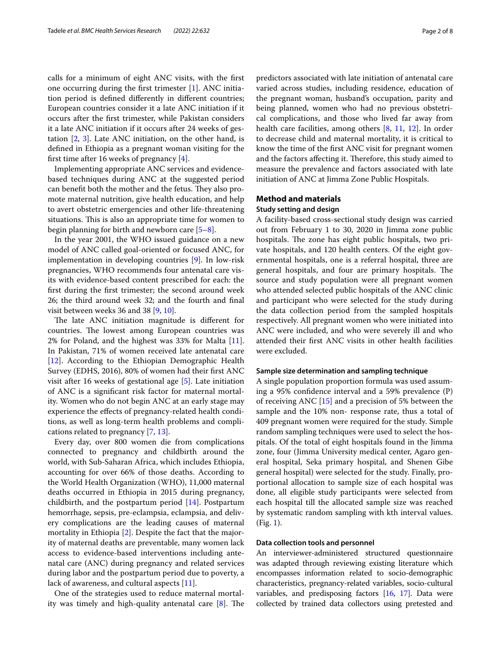calls for a minimum of eight ANC visits, with the frst one occurring during the frst trimester [[1\]](#page-7-0). ANC initiation period is defned diferently in diferent countries; European countries consider it a late ANC initiation if it occurs after the frst trimester, while Pakistan considers it a late ANC initiation if it occurs after 24 weeks of gestation [[2](#page-7-1), [3](#page-7-2)]. Late ANC initiation, on the other hand, is defned in Ethiopia as a pregnant woman visiting for the frst time after 16 weeks of pregnancy [\[4](#page-7-3)].

Implementing appropriate ANC services and evidencebased techniques during ANC at the suggested period can benefit both the mother and the fetus. They also promote maternal nutrition, give health education, and help to avert obstetric emergencies and other life-threatening situations. This is also an appropriate time for women to begin planning for birth and newborn care [[5–](#page-7-4)[8\]](#page-7-5).

In the year 2001, the WHO issued guidance on a new model of ANC called goal-oriented or focused ANC, for implementation in developing countries [[9\]](#page-7-6). In low-risk pregnancies, WHO recommends four antenatal care visits with evidence-based content prescribed for each: the frst during the frst trimester; the second around week 26; the third around week 32; and the fourth and fnal visit between weeks 36 and 38 [[9,](#page-7-6) [10](#page-7-7)].

The late ANC initiation magnitude is different for countries. The lowest among European countries was 2% for Poland, and the highest was 33% for Malta [\[11](#page-7-8)]. In Pakistan, 71% of women received late antenatal care [[12\]](#page-7-9). According to the Ethiopian Demographic Health Survey (EDHS, 2016), 80% of women had their frst ANC visit after 16 weeks of gestational age [[5\]](#page-7-4). Late initiation of ANC is a signifcant risk factor for maternal mortality. Women who do not begin ANC at an early stage may experience the efects of pregnancy-related health conditions, as well as long-term health problems and complications related to pregnancy [[7](#page-7-10), [13\]](#page-7-11).

Every day, over 800 women die from complications connected to pregnancy and childbirth around the world, with Sub-Saharan Africa, which includes Ethiopia, accounting for over 66% of those deaths. According to the World Health Organization (WHO), 11,000 maternal deaths occurred in Ethiopia in 2015 during pregnancy, childbirth, and the postpartum period [[14\]](#page-7-12). Postpartum hemorrhage, sepsis, pre-eclampsia, eclampsia, and delivery complications are the leading causes of maternal mortality in Ethiopia [\[2](#page-7-1)]. Despite the fact that the majority of maternal deaths are preventable, many women lack access to evidence-based interventions including antenatal care (ANC) during pregnancy and related services during labor and the postpartum period due to poverty, a lack of awareness, and cultural aspects [\[11\]](#page-7-8).

One of the strategies used to reduce maternal mortality was timely and high-quality antenatal care  $[8]$  $[8]$  $[8]$ . The predictors associated with late initiation of antenatal care varied across studies, including residence, education of the pregnant woman, husband's occupation, parity and being planned, women who had no previous obstetrical complications, and those who lived far away from health care facilities, among others [[8,](#page-7-5) [11](#page-7-8), [12\]](#page-7-9). In order to decrease child and maternal mortality, it is critical to know the time of the frst ANC visit for pregnant women and the factors affecting it. Therefore, this study aimed to measure the prevalence and factors associated with late initiation of ANC at Jimma Zone Public Hospitals.

# **Method and materials Study setting and design**

A facility-based cross-sectional study design was carried out from February 1 to 30, 2020 in Jimma zone public hospitals. The zone has eight public hospitals, two private hospitals, and 120 health centers. Of the eight governmental hospitals, one is a referral hospital, three are general hospitals, and four are primary hospitals. The source and study population were all pregnant women who attended selected public hospitals of the ANC clinic and participant who were selected for the study during the data collection period from the sampled hospitals respectively. All pregnant women who were initiated into ANC were included, and who were severely ill and who attended their frst ANC visits in other health facilities were excluded.

## **Sample size determination and sampling technique**

A single population proportion formula was used assuming a 95% confdence interval and a 59% prevalence (P) of receiving ANC [\[15](#page-7-13)] and a precision of 5% between the sample and the 10% non- response rate, thus a total of 409 pregnant women were required for the study. Simple random sampling techniques were used to select the hospitals. Of the total of eight hospitals found in the Jimma zone, four (Jimma University medical center, Agaro general hospital, Seka primary hospital, and Shenen Gibe general hospital) were selected for the study. Finally, proportional allocation to sample size of each hospital was done, all eligible study participants were selected from each hospital till the allocated sample size was reached by systematic random sampling with kth interval values. (Fig. [1\)](#page-2-0).

#### **Data collection tools and personnel**

An interviewer-administered structured questionnaire was adapted through reviewing existing literature which encompasses information related to socio-demographic characteristics, pregnancy-related variables, socio-cultural variables, and predisposing factors [\[16](#page-7-14), [17\]](#page-7-15). Data were collected by trained data collectors using pretested and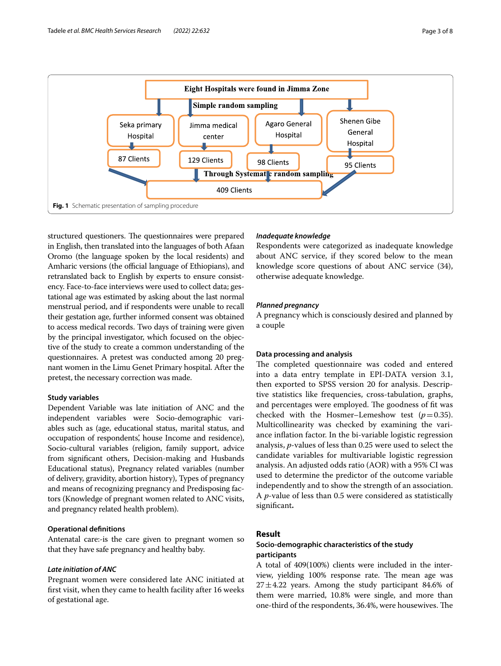

<span id="page-2-0"></span>structured questioners. The questionnaires were prepared in English, then translated into the languages of both Afaan Oromo (the language spoken by the local residents) and Amharic versions (the official language of Ethiopians), and retranslated back to English by experts to ensure consistency. Face-to-face interviews were used to collect data; gestational age was estimated by asking about the last normal menstrual period, and if respondents were unable to recall their gestation age, further informed consent was obtained to access medical records. Two days of training were given by the principal investigator, which focused on the objective of the study to create a common understanding of the questionnaires. A pretest was conducted among 20 pregnant women in the Limu Genet Primary hospital. After the pretest, the necessary correction was made.

#### **Study variables**

Dependent Variable was late initiation of ANC and the independent variables were Socio-demographic variables such as (age, educational status, marital status, and occupation of respondents', house Income and residence), Socio-cultural variables (religion, family support, advice from signifcant others, Decision-making and Husbands Educational status), Pregnancy related variables (number of delivery, gravidity, abortion history), Types of pregnancy and means of recognizing pregnancy and Predisposing factors (Knowledge of pregnant women related to ANC visits, and pregnancy related health problem).

# **Operational defnitions**

Antenatal care:-is the care given to pregnant women so that they have safe pregnancy and healthy baby.

#### *Late initiation of ANC*

Pregnant women were considered late ANC initiated at frst visit, when they came to health facility after 16 weeks of gestational age.

#### *Inadequate knowledge*

Respondents were categorized as inadequate knowledge about ANC service, if they scored below to the mean knowledge score questions of about ANC service (34), otherwise adequate knowledge.

#### *Planned pregnancy*

A pregnancy which is consciously desired and planned by a couple

#### **Data processing and analysis**

The completed questionnaire was coded and entered into a data entry template in EPI-DATA version 3.1, then exported to SPSS version 20 for analysis. Descriptive statistics like frequencies, cross-tabulation, graphs, and percentages were employed. The goodness of fit was checked with the Hosmer–Lemeshow test  $(p=0.35)$ . Multicollinearity was checked by examining the variance infation factor. In the bi-variable logistic regression analysis, *p*-values of less than 0.25 were used to select the candidate variables for multivariable logistic regression analysis. An adjusted odds ratio (AOR) with a 95% CI was used to determine the predictor of the outcome variable independently and to show the strength of an association. A *p*-value of less than 0.5 were considered as statistically signifcant**.**

## **Result**

# **Socio‑demographic characteristics of the study participants**

A total of 409(100%) clients were included in the interview, yielding 100% response rate. The mean age was  $27 \pm 4.22$  years. Among the study participant 84.6% of them were married, 10.8% were single, and more than one-third of the respondents, 36.4%, were housewives. The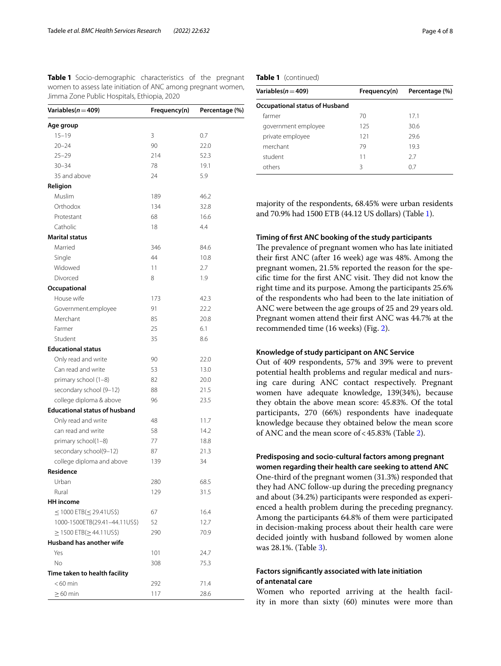<span id="page-3-0"></span>**Table 1** Socio-demographic characteristics of the pregnant women to assess late initiation of ANC among pregnant women, Jimma Zone Public Hospitals, Ethiopia, 2020

| Variables ( $n = 409$ )              | Frequency(n) | Percentage (%) |
|--------------------------------------|--------------|----------------|
| Age group                            |              |                |
| $15 - 19$                            | 3            | 0.7            |
| $20 - 24$                            | 90           | 22.0           |
| $25 - 29$                            | 214          | 52.3           |
| $30 - 34$                            | 78           | 19.1           |
| 35 and above                         | 24           | 5.9            |
| Religion                             |              |                |
| Muslim                               | 189          | 46.2           |
| Orthodox                             | 134          | 32.8           |
| Protestant                           | 68           | 16.6           |
| Catholic                             | 18           | 4.4            |
| <b>Marital status</b>                |              |                |
| Married                              | 346          | 84.6           |
| Single                               | 44           | 10.8           |
| Widowed                              | 11           | 2.7            |
| Divorced                             | 8            | 1.9            |
| Occupational                         |              |                |
| House wife                           | 173          | 42.3           |
| Government.employee                  | 91           | 22.2           |
| Merchant                             | 85           | 20.8           |
| Farmer                               | 25           | 6.1            |
| Student                              | 35           | 8.6            |
| <b>Educational status</b>            |              |                |
| Only read and write                  | 90           | 22.0           |
| Can read and write                   | 53           | 13.0           |
| primary school (1-8)                 | 82           | 20.0           |
| secondary school (9-12)              | 88           | 21.5           |
| college diploma & above              | 96           | 23.5           |
| <b>Educational status of husband</b> |              |                |
| Only read and write                  | 48           | 11.7           |
| can read and write                   | 58           | 14.2           |
| primary school(1-8)                  | 77           | 18.8           |
| secondary school(9-12)               | 87           | 21.3           |
| college diploma and above            | 139          | 34             |
| Residence                            |              |                |
| Urban                                | 280          | 68.5           |
| Rural                                | 129          | 31.5           |
| <b>HH</b> income                     |              |                |
| $\leq$ 1000 ETB( $\leq$ 29.41US\$)   | 67           | 16.4           |
| 1000-1500ETB(29.41-44.11US\$)        | 52           | 12.7           |
| $\geq$ 1500 ETB( $\geq$ 44.11US\$)   | 290          | 70.9           |
| Husband has another wife             |              |                |
| Yes                                  | 101          | 24.7           |
| No.                                  | 308          | 75.3           |
| Time taken to health facility        |              |                |
| $<$ 60 min                           | 292          | 71.4           |
| $>60$ min                            | 117          | 28.6           |

**Table 1** (continued)

| Variables $(n=409)$                   | Frequency(n) | Percentage (%) |  |  |
|---------------------------------------|--------------|----------------|--|--|
| <b>Occupational status of Husband</b> |              |                |  |  |
| farmer                                | 70           | 17.1           |  |  |
| government employee                   | 125          | 30.6           |  |  |
| private employee                      | 121          | 29.6           |  |  |
| merchant                              | 79           | 19.3           |  |  |
| student                               | 11           | 27             |  |  |
| others                                | Β            | 07             |  |  |

majority of the respondents, 68.45% were urban residents and 70.9% had 1500 ETB (44.12 US dollars) (Table [1\)](#page-3-0).

# **Timing of frst ANC booking of the study participants**

The prevalence of pregnant women who has late initiated their frst ANC (after 16 week) age was 48%. Among the pregnant women, 21.5% reported the reason for the specific time for the first ANC visit. They did not know the right time and its purpose. Among the participants 25.6% of the respondents who had been to the late initiation of ANC were between the age groups of 25 and 29 years old. Pregnant women attend their frst ANC was 44.7% at the recommended time (16 weeks) (Fig. [2](#page-4-0)).

#### **Knowledge of study participant on ANC Service**

Out of 409 respondents, 57% and 39% were to prevent potential health problems and regular medical and nursing care during ANC contact respectively. Pregnant women have adequate knowledge, 139(34%), because they obtain the above mean score: 45.83%. Of the total participants, 270 (66%) respondents have inadequate knowledge because they obtained below the mean score of ANC and the mean score of<45.83% (Table [2](#page-4-1)).

# **Predisposing and socio‑cultural factors among pregnant women regarding their health care seeking to attend ANC**

One-third of the pregnant women (31.3%) responded that they had ANC follow-up during the preceding pregnancy and about (34.2%) participants were responded as experienced a health problem during the preceding pregnancy. Among the participants 64.8% of them were participated in decision-making process about their health care were decided jointly with husband followed by women alone was 28.1%. (Table [3\)](#page-5-0).

# **Factors signifcantly associated with late initiation of antenatal care**

Women who reported arriving at the health facility in more than sixty (60) minutes were more than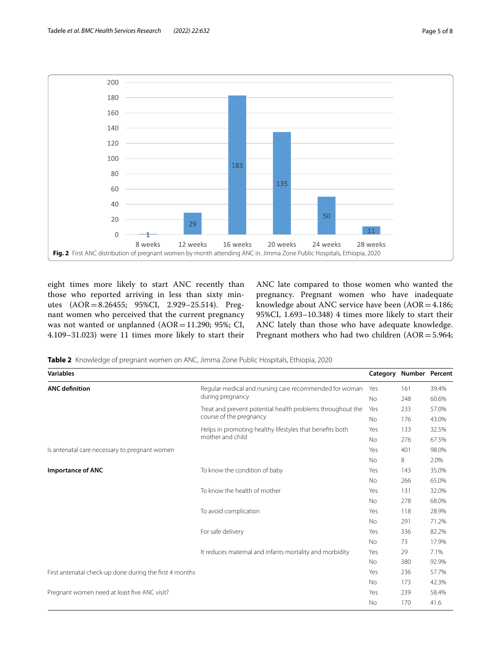

<span id="page-4-0"></span>eight times more likely to start ANC recently than those who reported arriving in less than sixty minutes (AOR=8.26455; 95%CI, 2.929–25.514). Pregnant women who perceived that the current pregnancy was not wanted or unplanned (AOR=11.290; 95%; CI, 4.109–31.023) were 11 times more likely to start their ANC late compared to those women who wanted the pregnancy. Pregnant women who have inadequate knowledge about ANC service have been (AOR=4.186; 95%CI, 1.693–10.348) 4 times more likely to start their ANC lately than those who have adequate knowledge. Pregnant mothers who had two children (AOR=5.964;

<span id="page-4-1"></span>**Table 2** Knowledge of pregnant women on ANC, Jimma Zone Public Hospitals, Ethiopia, 2020

| <b>Variables</b>                                        |                                                                              | Category Number Percent |     |       |
|---------------------------------------------------------|------------------------------------------------------------------------------|-------------------------|-----|-------|
| <b>ANC</b> definition                                   | Regular medical and nursing care recommended for woman                       | Yes                     | 161 | 39.4% |
|                                                         | during pregnancy                                                             | <b>No</b>               | 248 | 60.6% |
|                                                         | Treat and prevent potential health problems throughout the                   | Yes                     | 233 | 57.0% |
|                                                         | course of the pregnancy                                                      | No.                     | 176 | 43.0% |
|                                                         | Helps in promoting healthy lifestyles that benefits both<br>mother and child | Yes                     | 133 | 32.5% |
|                                                         |                                                                              | <b>No</b>               | 276 | 67.5% |
| Is antenatal care necessary to pregnant women           |                                                                              |                         | 401 | 98.0% |
|                                                         |                                                                              | No                      | 8   | 2.0%  |
| <b>Importance of ANC</b>                                | To know the condition of baby                                                | Yes                     | 143 | 35.0% |
|                                                         |                                                                              | <b>No</b>               | 266 | 65.0% |
|                                                         | To know the health of mother                                                 | Yes                     | 131 | 32.0% |
|                                                         |                                                                              | <b>No</b>               | 278 | 68.0% |
|                                                         | To avoid complication                                                        | Yes                     | 118 | 28.9% |
|                                                         |                                                                              | <b>No</b>               | 291 | 71.2% |
|                                                         | For safe delivery                                                            | Yes                     | 336 | 82.2% |
|                                                         |                                                                              | <b>No</b>               | 73  | 17.9% |
|                                                         | It reduces maternal and infants mortality and morbidity                      | Yes                     | 29  | 7.1%  |
|                                                         |                                                                              | <b>No</b>               | 380 | 92.9% |
| First antenatal check-up done during the first 4 months |                                                                              |                         | 236 | 57.7% |
|                                                         |                                                                              | <b>No</b>               | 173 | 42.3% |
| Pregnant women need at least five ANC visit?            |                                                                              | Yes                     | 239 | 58.4% |
|                                                         |                                                                              | <b>No</b>               | 170 | 41.6  |
|                                                         |                                                                              |                         |     |       |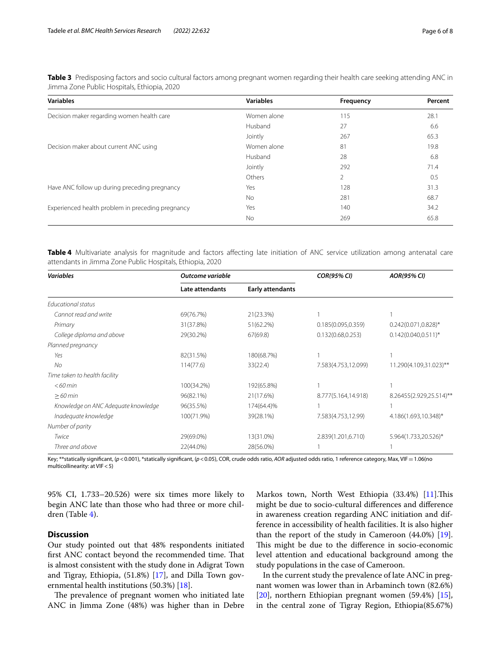<span id="page-5-0"></span>**Table 3** Predisposing factors and socio cultural factors among pregnant women regarding their health care seeking attending ANC in Jimma Zone Public Hospitals, Ethiopia, 2020

| <b>Variables</b>                                  | <b>Variables</b> | Frequency      | Percent |
|---------------------------------------------------|------------------|----------------|---------|
| Decision maker regarding women health care        | Women alone      | 115            | 28.1    |
|                                                   | Husband          | 27             | 6.6     |
|                                                   | Jointly          | 267            | 65.3    |
| Decision maker about current ANC using            | Women alone      | 81             | 19.8    |
|                                                   | Husband          | 28             | 6.8     |
|                                                   | Jointly          | 292            | 71.4    |
|                                                   | Others           | $\overline{2}$ | 0.5     |
| Have ANC follow up during preceding pregnancy     | Yes              | 128            | 31.3    |
|                                                   | <b>No</b>        | 281            | 68.7    |
| Experienced health problem in preceding pregnancy | Yes              | 140            | 34.2    |
|                                                   | <b>No</b>        | 269            | 65.8    |

<span id="page-5-1"></span>Table 4 Multivariate analysis for magnitude and factors affecting late initiation of ANC service utilization among antenatal care attendants in Jimma Zone Public Hospitals, Ethiopia, 2020

| <b>Variables</b>                    | Outcome variable |                         | <b>COR(95% CI)</b>  | <b>AOR(95% CI)</b>       |
|-------------------------------------|------------------|-------------------------|---------------------|--------------------------|
|                                     | Late attendants  | <b>Early attendants</b> |                     |                          |
| Educational status                  |                  |                         |                     |                          |
| Cannot read and write               | 69(76.7%)        | 21(23.3%)               |                     |                          |
| Primary                             | 31(37.8%)        | 51(62.2%)               | 0.185(0.095, 0.359) | $0.242(0.071, 0.828)^*$  |
| College diploma and above           | 29(30.2%)        | 67(69.8)                | 0.132(0.68, 0.253)  | $0.142(0.040.0.511)^{*}$ |
| Planned pregnancy                   |                  |                         |                     |                          |
| Yes                                 | 82(31.5%)        | 180(68.7%)              |                     |                          |
| <b>No</b>                           | 114(77.6)        | 33(22.4)                | 7.583(4.753,12.099) | 11.290(4.109,31.023)**   |
| Time taken to health facility       |                  |                         |                     |                          |
| $<$ 60 min                          | 100(34.2%)       | 192(65.8%)              |                     |                          |
| $>60$ min                           | 96(82.1%)        | 21(17.6%)               | 8.777(5.164,14.918) | 8.26455(2.929,25.514)**  |
| Knowledge on ANC Adequate knowledge | 96(35.5%)        | 174(64.4)%              |                     |                          |
| Inadeguate knowledge                | 100(71.9%)       | 39(28.1%)               | 7.583(4.753,12.99)  | 4.186(1.693,10.348)*     |
| Number of parity                    |                  |                         |                     |                          |
| Twice                               | 29(69.0%)        | 13(31.0%)               | 2.839(1.201,6.710)  | 5.964(1.733,20.526)*     |
| Three and above                     | 22(44.0%)        | 28(56.0%)               |                     |                          |

Key; \*\*statically significant, (*p*<0.001), \*statically significant, (*p*<0.05), COR, crude odds ratio, AOR adjusted odds ratio, 1 reference category, Max, VIF=1.06(no multicollinearity: at VIF<5)

95% CI, 1.733–20.526) were six times more likely to begin ANC late than those who had three or more children (Table [4](#page-5-1)).

# **Discussion**

Our study pointed out that 48% respondents initiated first ANC contact beyond the recommended time. That is almost consistent with the study done in Adigrat Town and Tigray, Ethiopia, (51.8%) [\[17](#page-7-15)], and Dilla Town governmental health institutions (50.3%) [[18](#page-7-16)].

The prevalence of pregnant women who initiated late ANC in Jimma Zone (48%) was higher than in Debre

Markos town, North West Ethiopia (33.4%) [\[11](#page-7-8)]. This might be due to socio-cultural diferences and diference in awareness creation regarding ANC initiation and difference in accessibility of health facilities. It is also higher than the report of the study in Cameroon (44.0%) [\[19](#page-7-17)]. This might be due to the difference in socio-economic level attention and educational background among the study populations in the case of Cameroon.

In the current study the prevalence of late ANC in pregnant women was lower than in Arbaminch town (82.6%) [[20\]](#page-7-18), northern Ethiopian pregnant women (59.4%) [\[15](#page-7-13)], in the central zone of Tigray Region, Ethiopia(85.67%)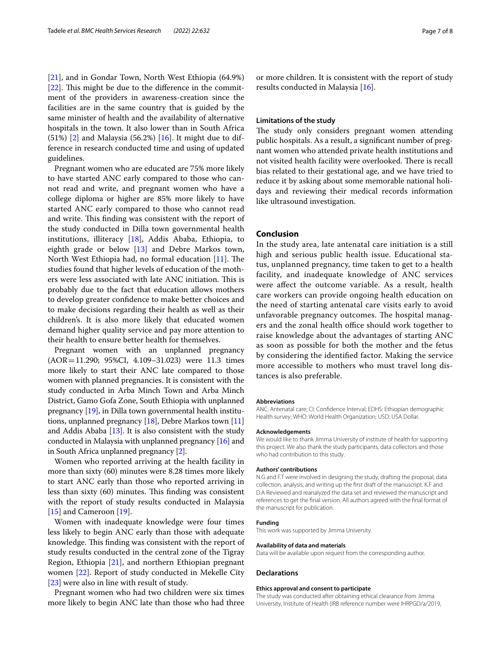[[21\]](#page-7-19), and in Gondar Town, North West Ethiopia (64.9%)  $[22]$  $[22]$ . This might be due to the difference in the commitment of the providers in awareness-creation since the facilities are in the same country that is guided by the same minister of health and the availability of alternative hospitals in the town. It also lower than in South Africa  $(51%)$  [\[2\]](#page-7-1) and Malaysia (56.2%) [\[16](#page-7-14)]. It might due to difference in research conducted time and using of updated guidelines.

Pregnant women who are educated are 75% more likely to have started ANC early compared to those who cannot read and write, and pregnant women who have a college diploma or higher are 85% more likely to have started ANC early compared to those who cannot read and write. This finding was consistent with the report of the study conducted in Dilla town governmental health institutions, illiteracy [\[18](#page-7-16)], Addis Ababa, Ethiopia, to eighth grade or below [\[13](#page-7-11)] and Debre Markos town, North West Ethiopia had, no formal education  $[11]$  $[11]$ . The studies found that higher levels of education of the mothers were less associated with late ANC initiation. This is probably due to the fact that education allows mothers to develop greater confdence to make better choices and to make decisions regarding their health as well as their children's. It is also more likely that educated women demand higher quality service and pay more attention to their health to ensure better health for themselves.

Pregnant women with an unplanned pregnancy (AOR=11.290; 95%CI, 4.109–31.023) were 11.3 times more likely to start their ANC late compared to those women with planned pregnancies. It is consistent with the study conducted in Arba Minch Town and Arba Minch District, Gamo Gofa Zone, South Ethiopia with unplanned pregnancy [\[19\]](#page-7-17), in Dilla town governmental health institutions, unplanned pregnancy  $[18]$ , Debre Markos town  $[11]$  $[11]$  $[11]$ and Addis Ababa [\[13\]](#page-7-11). It is also consistent with the study conducted in Malaysia with unplanned pregnancy [[16](#page-7-14)] and in South Africa unplanned pregnancy [\[2\]](#page-7-1).

Women who reported arriving at the health facility in more than sixty (60) minutes were 8.28 times more likely to start ANC early than those who reported arriving in less than sixty (60) minutes. This finding was consistent with the report of study results conducted in Malaysia [[15\]](#page-7-13) and Cameroon [[19\]](#page-7-17).

Women with inadequate knowledge were four times less likely to begin ANC early than those with adequate knowledge. This finding was consistent with the report of study results conducted in the central zone of the Tigray Region, Ethiopia [\[21](#page-7-19)], and northern Ethiopian pregnant women [\[22](#page-7-20)]. Report of study conducted in Mekelle City [[23\]](#page-7-21) were also in line with result of study.

Pregnant women who had two children were six times more likely to begin ANC late than those who had three or more children. It is consistent with the report of study results conducted in Malaysia [\[16](#page-7-14)].

#### **Limitations of the study**

The study only considers pregnant women attending public hospitals. As a result, a signifcant number of pregnant women who attended private health institutions and not visited health facility were overlooked. There is recall bias related to their gestational age, and we have tried to reduce it by asking about some memorable national holidays and reviewing their medical records information like ultrasound investigation.

# **Conclusion**

In the study area, late antenatal care initiation is a still high and serious public health issue. Educational status, unplanned pregnancy, time taken to get to a health facility, and inadequate knowledge of ANC services were afect the outcome variable. As a result, health care workers can provide ongoing health education on the need of starting antenatal care visits early to avoid unfavorable pregnancy outcomes. The hospital managers and the zonal health office should work together to raise knowledge about the advantages of starting ANC as soon as possible for both the mother and the fetus by considering the identifed factor. Making the service more accessible to mothers who must travel long distances is also preferable.

#### **Abbreviations**

ANC: Antenatal care; CI: Confdence Interval; EDHS: Ethiopian demographic Health survey; WHO: World Health Organization; USD: USA Dollar.

#### **Acknowledgements**

We would like to thank Jimma University of institute of health for supporting this project. We also thank the study participants, data collectors and those who had contribution to this study

#### **Authors' contributions**

N.G and F.T were involved in designing the study, drafting the proposal, data collection, analysis, and writing up the frst draft of the manuscript. K.F and D.A Reviewed and reanalyzed the data set and reviewed the manuscript and references to get the fnal version. All authors agreed with the fnal format of the manuscript for publication.

#### **Funding**

This work was supported by Jimma University.

#### **Availability of data and materials**

Data will be available upon request from the corresponding author.

#### **Declarations**

#### **Ethics approval and consent to participate**

The study was conducted after obtaining ethical clearance from Jimma University, Institute of Health (IRB reference number were IHRPGD/a/2019,